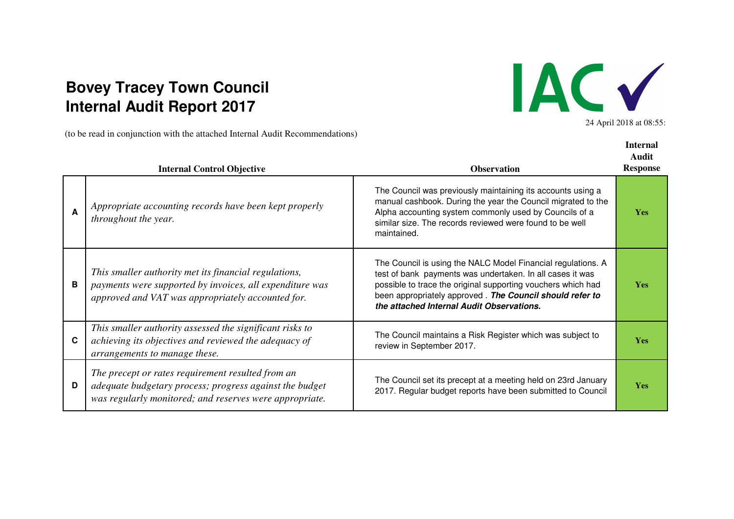## **Internal Audit Report 2017Bovey Tracey Town Council**

(to be read in conjunction with the attached Internal Audit Recommendations)



24 April 2018 at 08:55:

**Internal** 

|    | <b>Internal Control Objective</b>                                                                                                                                       | <b>Observation</b>                                                                                                                                                                                                                                                                                 | Audit<br><b>Response</b> |
|----|-------------------------------------------------------------------------------------------------------------------------------------------------------------------------|----------------------------------------------------------------------------------------------------------------------------------------------------------------------------------------------------------------------------------------------------------------------------------------------------|--------------------------|
| A  | Appropriate accounting records have been kept properly<br><i>throughout the year.</i>                                                                                   | The Council was previously maintaining its accounts using a<br>manual cashbook. During the year the Council migrated to the<br>Alpha accounting system commonly used by Councils of a<br>similar size. The records reviewed were found to be well<br>maintained.                                   | <b>Yes</b>               |
| B  | This smaller authority met its financial regulations,<br>payments were supported by invoices, all expenditure was<br>approved and VAT was appropriately accounted for.  | The Council is using the NALC Model Financial regulations. A<br>test of bank payments was undertaken. In all cases it was<br>possible to trace the original supporting vouchers which had<br>been appropriately approved. The Council should refer to<br>the attached Internal Audit Observations. | <b>Yes</b>               |
| C. | This smaller authority assessed the significant risks to<br>achieving its objectives and reviewed the adequacy of<br>arrangements to manage these.                      | The Council maintains a Risk Register which was subject to<br>review in September 2017.                                                                                                                                                                                                            | <b>Yes</b>               |
| D  | The precept or rates requirement resulted from an<br>adequate budgetary process; progress against the budget<br>was regularly monitored; and reserves were appropriate. | The Council set its precept at a meeting held on 23rd January<br>2017. Regular budget reports have been submitted to Council                                                                                                                                                                       | <b>Yes</b>               |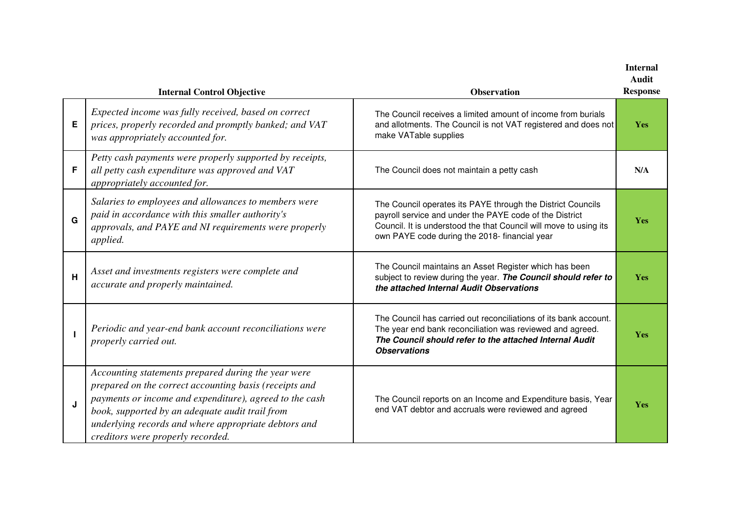|   | <b>Internal Control Objective</b>                                                                                                                                                                                                                                                                                        | <b>Observation</b>                                                                                                                                                                                                                           | <b>Internal</b><br><b>Audit</b><br><b>Response</b> |
|---|--------------------------------------------------------------------------------------------------------------------------------------------------------------------------------------------------------------------------------------------------------------------------------------------------------------------------|----------------------------------------------------------------------------------------------------------------------------------------------------------------------------------------------------------------------------------------------|----------------------------------------------------|
| Е | Expected income was fully received, based on correct<br>prices, properly recorded and promptly banked; and VAT<br>was appropriately accounted for.                                                                                                                                                                       | The Council receives a limited amount of income from burials<br>and allotments. The Council is not VAT registered and does not<br>make VATable supplies                                                                                      | <b>Yes</b>                                         |
| F | Petty cash payments were properly supported by receipts,<br>all petty cash expenditure was approved and VAT<br>appropriately accounted for.                                                                                                                                                                              | The Council does not maintain a petty cash                                                                                                                                                                                                   | N/A                                                |
| G | Salaries to employees and allowances to members were<br>paid in accordance with this smaller authority's<br>approvals, and PAYE and NI requirements were properly<br>applied.                                                                                                                                            | The Council operates its PAYE through the District Councils<br>payroll service and under the PAYE code of the District<br>Council. It is understood the that Council will move to using its<br>own PAYE code during the 2018- financial year | Yes                                                |
| H | Asset and investments registers were complete and<br>accurate and properly maintained.                                                                                                                                                                                                                                   | The Council maintains an Asset Register which has been<br>subject to review during the year. The Council should refer to<br>the attached Internal Audit Observations                                                                         | Yes                                                |
|   | Periodic and year-end bank account reconciliations were<br>properly carried out.                                                                                                                                                                                                                                         | The Council has carried out reconciliations of its bank account.<br>The year end bank reconciliation was reviewed and agreed.<br>The Council should refer to the attached Internal Audit<br><b>Observations</b>                              | Yes                                                |
| J | Accounting statements prepared during the year were<br>prepared on the correct accounting basis (receipts and<br>payments or income and expenditure), agreed to the cash<br>book, supported by an adequate audit trail from<br>underlying records and where appropriate debtors and<br>creditors were properly recorded. | The Council reports on an Income and Expenditure basis, Year<br>end VAT debtor and accruals were reviewed and agreed                                                                                                                         | <b>Yes</b>                                         |